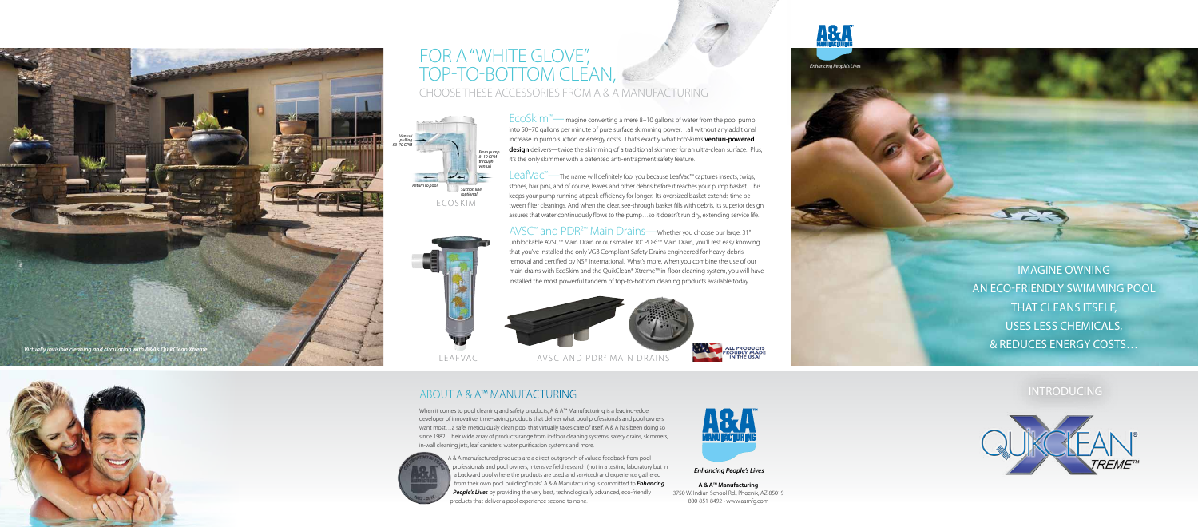Imagine Owning an Eco-Friendly Swimming Pool THAT CLEANS ITSELF, Uses Less Chemicals, & Reduces Energy Costs…

**INTRODUCING** 



 $E$ CO $\overline{\textrm{Stim}}$ <sup>m</sup>—Imagine converting a mere 8–10 gallons of water from the pool pump into 50–70 gallons per minute of pure surface skimming power…all without any additional increase in pump suction or energy costs. That's exactly what EcoSkim's **venturi-powered design** delivers—twice the skimming of a traditional skimmer for an ultra-clean surface. Plus, it's the only skimmer with a patented anti-entrapment safety feature.

Leaf $VaC^M$ —The name will definitely fool you because LeafVac<sup>™</sup> captures insects, twigs, stones, hair pins, and of course, leaves and other debris before it reaches your pump basket. This keeps your pump running at peak efficiency for longer. Its oversized basket extends time between filter cleanings. And when the clear, see-through basket fills with debris, its superior design assures that water continuously flows to the pump…so it doesn't run dry, extending service life.

## FOR A "WHITE GLOVE", Top-to-Bottom Clean, Choose These Accessories from A & A Manufacturing

AVSC™ and PDR2™ Main Drains—Whether you choose our large, 31" unblockable AVSC™ Main Drain or our smaller 10" PDR2 ™ Main Drain, you'll rest easy knowing that you've installed the only VGB Compliant Safety Drains engineered for heavy debris removal and certified by NSF International. What's more, when you combine the use of our main drains with EcoSkim and the QuikClean® Xtreme™ in-floor cleaning system, you will have installed the most powerful tandem of top-to-bottom cleaning products available today.



### About A & A™ Manufacturing

When it comes to pool cleaning and safety products, A & A™ Manufacturing is a leading-edge developer of innovative, time-saving products that deliver what pool professionals and pool owners want most…a safe, meticulously clean pool that virtually takes care of itself. A & A has been doing so since 1982. Their wide array of products range from in-floor cleaning systems, safety drains, skimmers, in-wall cleaning jets, leaf canisters, water purification systems and more.







A & A manufactured products are a direct outgrowth of valued feedback from pool professionals and pool owners, intensive field research (not in a testing laboratory but in a backyard pool where the products are used and serviced) and experience gathered from their own pool building "roots". A & A Manufacturing is committed to *Enhancing People's Lives* by providing the very best, technologically advanced, eco-friendly products that deliver a pool experience second to none.





**ALL PRODUCTS<br>PROUDLY MADE<br>IN THE USA!** 

**A & A™ Manufacturing** 3750 W. Indian School Rd., Phoenix, AZ 85019 800-851-8492 • www.aamfg.com







*Enhancing People's Lives*

*Enhancing People's Lives*